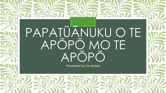# PAPATŪĀNUKU O TE APŌPŌ MO TE APŌPŌ

Presented by Te apopo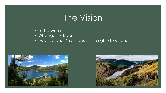# The Vision

- Te Urewera.
- Whanganui River.
- Two National 'first steps in the right direction.'



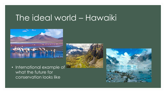# The ideal world – Hawaiki







• International example of what the future for conservation looks like

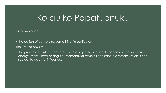#### • **Conservation**

#### *noun*

• the action of conserving something, in particular:

#### The Law of physics

• the principle by which the total value of a physical quantity or parameter (such as energy, mass, linear or angular momentum) remains constant in a system which is not subject to external influence.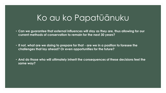• **Can we guarantee that external influences will stay as they are, thus allowing for our current methods of conservation to remain for the next 30 years?**

• **If not, what are we doing to prepare for that - are we in a position to foresee the challenges that lay ahead? Or even opportunities for the future?**

• **And do those who will ultimately inherit the consequences of these decisions feel the same way?**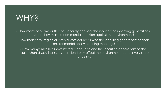### WHY?

- How many of our iwi authorities seriously consider the input of the inheriting generations when they make a commercial decision against the environment?
- How many city, region or even district councils invite the inheriting generations to their environmental policy planning meetings?
	- How many times has Govt invited Māori, let alone the inheriting generations to the table when discussing issues that don't only effect the environment, but our very state of being.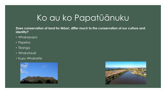**Does conservation of land for Māori, differ much to the conservation of our culture and identity?**

- Whakapapa
- Pepeha
- Tikanga
- Whakataukī
- Kupu Whakarite



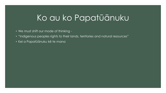- We must shift our mode of thinking -
- "Indigenous peoples rights to their lands, territories and natural resources"
- Kei a Papatūānuku kē te mana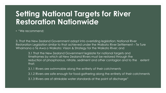### **Setting National Targets for River Restoration Nationwide**

• "We recommend;

3. That the New Zealand Government adopt into overriding legislation; National River Restoration Legislation similar to that achieved under the Waikato River Settlement – Te Ture Whaimana o Te Awa o Waikato: Vision & Strategy for the Waikato River; and

3.1 That the New Zealand Government legislate for national targets and timeframes by which all New Zealand Rivers must be restored through the reduction of phosphorous, nitrate, sediment and other contagion and to the extent that;

3.1.1 Rivers are swimmable along the entirety of their catchments

3.1.2 Rivers are safe enough for food-gathering along the entirety of their catchments

3.1.3 Rivers are of drinkable water standards at the point of discharge"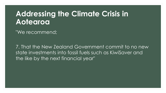#### **Addressing the Climate Crisis in Aotearoa**

"We recommend;

7. That the New Zealand Government commit to no new state investments into fossil fuels such as KiwiSaver and the like by the next financial year"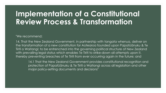### **Implementation of a Constitutional Review Process & Transformation**

"We recommend;

14. That the New Zealand Government, in partnership with tangata whenua, deliver on the transformation of a new constitution for Aotearoa founded upon Papatūānuku & Te Tiriti o Waitangi; to be entrenched into the governing political structure of New Zealand with prevailing legal status which enables Te Tiriti to strike-down all attempts upon it, thereby preventing breaches of Te Tiriti from ever occurring again in the future; and

14.1 That the New Zealand Government provides constitutional recognition and protection of Papatūānuku & Te Tiriti o Waitangi across all legislation and other major policy-setting documents and decisions"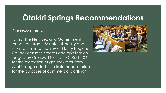#### **Ōtakiri Springs Recommendations**

"We recommend;

1. That the New Zealand Government launch an Urgent Ministerial Inquiry and moratorium into the Bay of Plenty Regional Council consent process and application lodged by Cresswell NZ Ltd – RC RM17-0424 for the extraction of groundwater from Ōtakiritanga o Te Toki a Iratumoana spring for the purposes of commercial bottling"